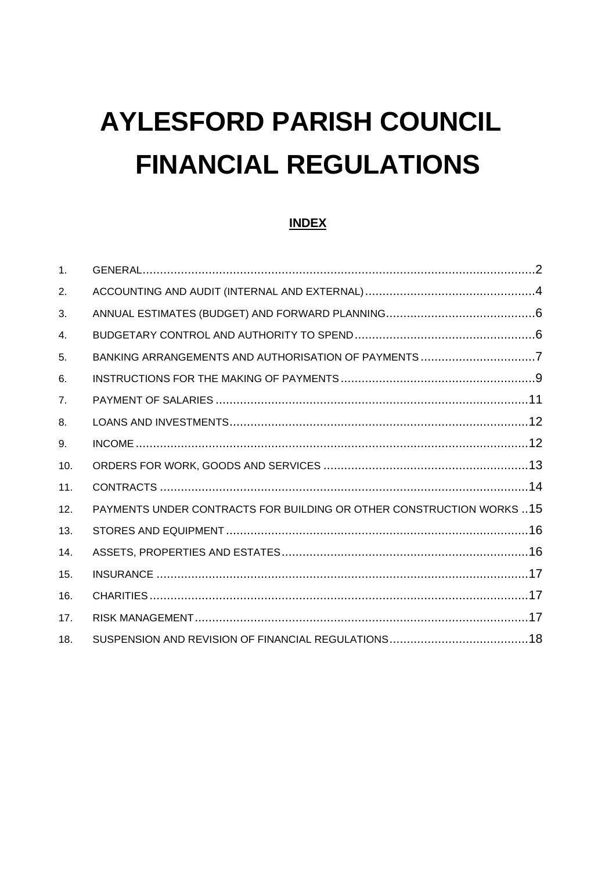# **AYLESFORD PARISH COUNCIL FINANCIAL REGULATIONS**

## **INDEX**

| 1 <sub>1</sub> |                                                                       |  |
|----------------|-----------------------------------------------------------------------|--|
| 2.             |                                                                       |  |
| 3.             |                                                                       |  |
| 4.             |                                                                       |  |
| 5.             | BANKING ARRANGEMENTS AND AUTHORISATION OF PAYMENTS 7                  |  |
| 6.             |                                                                       |  |
| 7.             |                                                                       |  |
| 8.             |                                                                       |  |
| 9.             |                                                                       |  |
| 10.            |                                                                       |  |
| 11.            |                                                                       |  |
| 12.            | PAYMENTS UNDER CONTRACTS FOR BUILDING OR OTHER CONSTRUCTION WORKS  15 |  |
| 13.            |                                                                       |  |
| 14.            |                                                                       |  |
| 15.            |                                                                       |  |
| 16.            |                                                                       |  |
| 17.            |                                                                       |  |
| 18.            |                                                                       |  |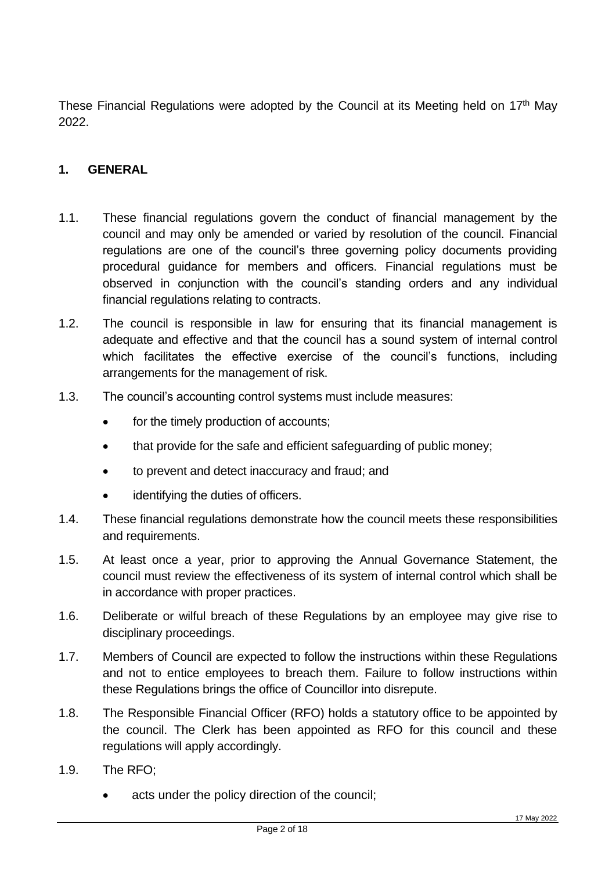These Financial Regulations were adopted by the Council at its Meeting held on 17<sup>th</sup> May 2022.

#### <span id="page-1-0"></span>**1. GENERAL**

- 1.1. These financial regulations govern the conduct of financial management by the council and may only be amended or varied by resolution of the council. Financial regulations are one of the council's three governing policy documents providing procedural guidance for members and officers. Financial regulations must be observed in conjunction with the council's standing orders and any individual financial regulations relating to contracts.
- 1.2. The council is responsible in law for ensuring that its financial management is adequate and effective and that the council has a sound system of internal control which facilitates the effective exercise of the council's functions, including arrangements for the management of risk.
- 1.3. The council's accounting control systems must include measures:
	- for the timely production of accounts;
	- that provide for the safe and efficient safeguarding of public money;
	- to prevent and detect inaccuracy and fraud; and
	- identifying the duties of officers.
- 1.4. These financial regulations demonstrate how the council meets these responsibilities and requirements.
- 1.5. At least once a year, prior to approving the Annual Governance Statement, the council must review the effectiveness of its system of internal control which shall be in accordance with proper practices.
- 1.6. Deliberate or wilful breach of these Regulations by an employee may give rise to disciplinary proceedings.
- 1.7. Members of Council are expected to follow the instructions within these Regulations and not to entice employees to breach them. Failure to follow instructions within these Regulations brings the office of Councillor into disrepute.
- 1.8. The Responsible Financial Officer (RFO) holds a statutory office to be appointed by the council. The Clerk has been appointed as RFO for this council and these regulations will apply accordingly.
- 1.9. The RFO;
	- acts under the policy direction of the council;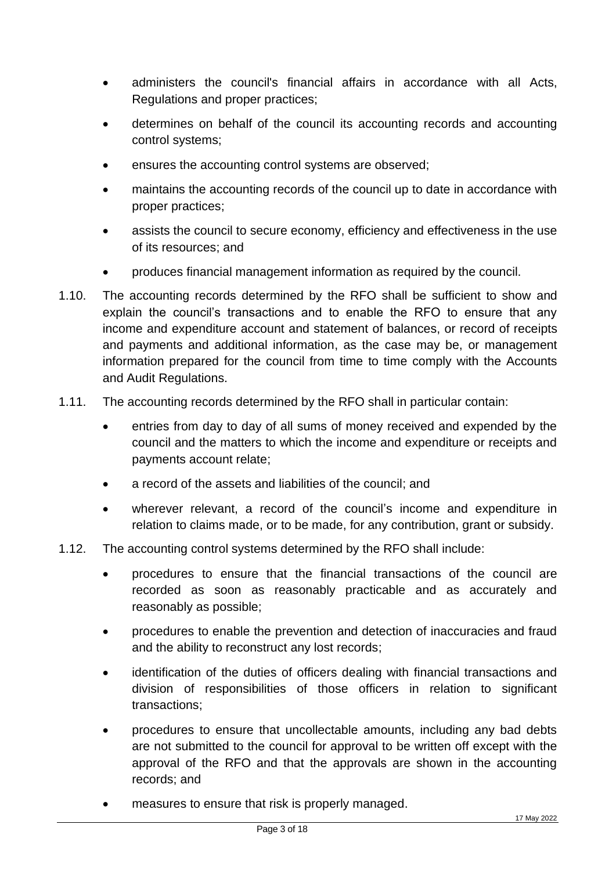- administers the council's financial affairs in accordance with all Acts, Regulations and proper practices;
- determines on behalf of the council its accounting records and accounting control systems;
- ensures the accounting control systems are observed;
- maintains the accounting records of the council up to date in accordance with proper practices;
- assists the council to secure economy, efficiency and effectiveness in the use of its resources; and
- produces financial management information as required by the council.
- 1.10. The accounting records determined by the RFO shall be sufficient to show and explain the council's transactions and to enable the RFO to ensure that any income and expenditure account and statement of balances, or record of receipts and payments and additional information, as the case may be, or management information prepared for the council from time to time comply with the Accounts and Audit Regulations.
- 1.11. The accounting records determined by the RFO shall in particular contain:
	- entries from day to day of all sums of money received and expended by the council and the matters to which the income and expenditure or receipts and payments account relate;
	- a record of the assets and liabilities of the council; and
	- wherever relevant, a record of the council's income and expenditure in relation to claims made, or to be made, for any contribution, grant or subsidy.
- 1.12. The accounting control systems determined by the RFO shall include:
	- procedures to ensure that the financial transactions of the council are recorded as soon as reasonably practicable and as accurately and reasonably as possible;
	- procedures to enable the prevention and detection of inaccuracies and fraud and the ability to reconstruct any lost records;
	- identification of the duties of officers dealing with financial transactions and division of responsibilities of those officers in relation to significant transactions;
	- procedures to ensure that uncollectable amounts, including any bad debts are not submitted to the council for approval to be written off except with the approval of the RFO and that the approvals are shown in the accounting records; and
	- measures to ensure that risk is properly managed.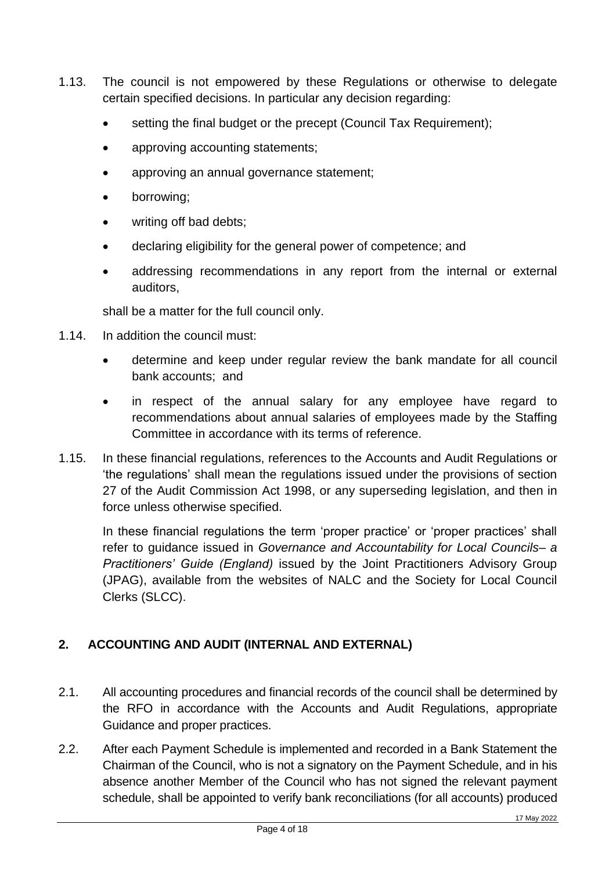- 1.13. The council is not empowered by these Regulations or otherwise to delegate certain specified decisions. In particular any decision regarding:
	- setting the final budget or the precept (Council Tax Requirement);
	- approving accounting statements;
	- approving an annual governance statement;
	- borrowing;
	- writing off bad debts;
	- declaring eligibility for the general power of competence; and
	- addressing recommendations in any report from the internal or external auditors,

shall be a matter for the full council only.

- 1.14. In addition the council must:
	- determine and keep under regular review the bank mandate for all council bank accounts; and
	- in respect of the annual salary for any employee have regard to recommendations about annual salaries of employees made by the Staffing Committee in accordance with its terms of reference.
- 1.15. In these financial regulations, references to the Accounts and Audit Regulations or 'the regulations' shall mean the regulations issued under the provisions of section 27 of the Audit Commission Act 1998, or any superseding legislation, and then in force unless otherwise specified.

In these financial regulations the term 'proper practice' or 'proper practices' shall refer to guidance issued in *Governance and Accountability for Local Councils– a Practitioners' Guide (England)* issued by the Joint Practitioners Advisory Group (JPAG), available from the websites of NALC and the Society for Local Council Clerks (SLCC).

# <span id="page-3-0"></span>**2. ACCOUNTING AND AUDIT (INTERNAL AND EXTERNAL)**

- 2.1. All accounting procedures and financial records of the council shall be determined by the RFO in accordance with the Accounts and Audit Regulations, appropriate Guidance and proper practices.
- 2.2. After each Payment Schedule is implemented and recorded in a Bank Statement the Chairman of the Council, who is not a signatory on the Payment Schedule, and in his absence another Member of the Council who has not signed the relevant payment schedule, shall be appointed to verify bank reconciliations (for all accounts) produced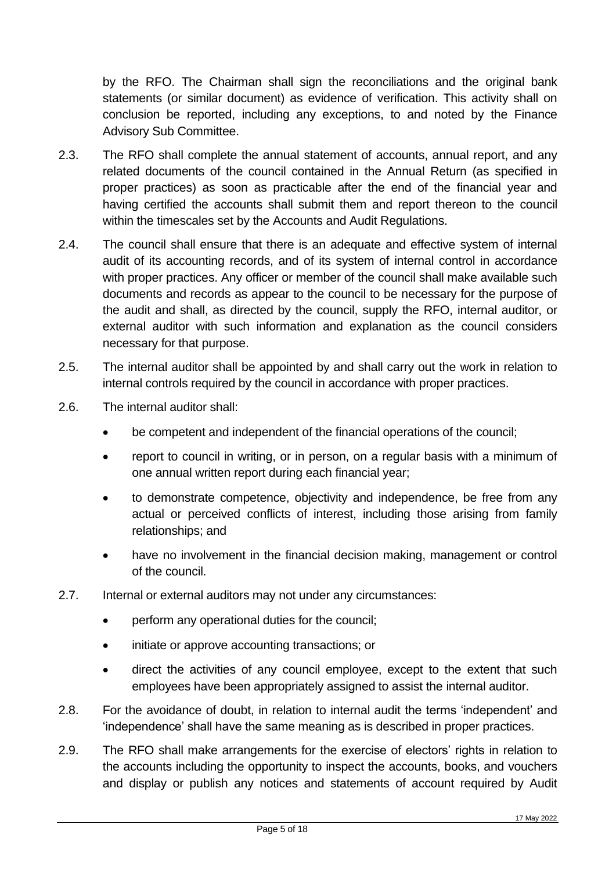by the RFO. The Chairman shall sign the reconciliations and the original bank statements (or similar document) as evidence of verification. This activity shall on conclusion be reported, including any exceptions, to and noted by the Finance Advisory Sub Committee.

- 2.3. The RFO shall complete the annual statement of accounts, annual report, and any related documents of the council contained in the Annual Return (as specified in proper practices) as soon as practicable after the end of the financial year and having certified the accounts shall submit them and report thereon to the council within the timescales set by the Accounts and Audit Regulations.
- 2.4. The council shall ensure that there is an adequate and effective system of internal audit of its accounting records, and of its system of internal control in accordance with proper practices. Any officer or member of the council shall make available such documents and records as appear to the council to be necessary for the purpose of the audit and shall, as directed by the council, supply the RFO, internal auditor, or external auditor with such information and explanation as the council considers necessary for that purpose.
- 2.5. The internal auditor shall be appointed by and shall carry out the work in relation to internal controls required by the council in accordance with proper practices.
- 2.6. The internal auditor shall:
	- be competent and independent of the financial operations of the council;
	- report to council in writing, or in person, on a regular basis with a minimum of one annual written report during each financial year;
	- to demonstrate competence, objectivity and independence, be free from any actual or perceived conflicts of interest, including those arising from family relationships; and
	- have no involvement in the financial decision making, management or control of the council.
- 2.7. Internal or external auditors may not under any circumstances:
	- perform any operational duties for the council:
	- initiate or approve accounting transactions; or
	- direct the activities of any council employee, except to the extent that such employees have been appropriately assigned to assist the internal auditor.
- 2.8. For the avoidance of doubt, in relation to internal audit the terms 'independent' and 'independence' shall have the same meaning as is described in proper practices.
- 2.9. The RFO shall make arrangements for the exercise of electors' rights in relation to the accounts including the opportunity to inspect the accounts, books, and vouchers and display or publish any notices and statements of account required by Audit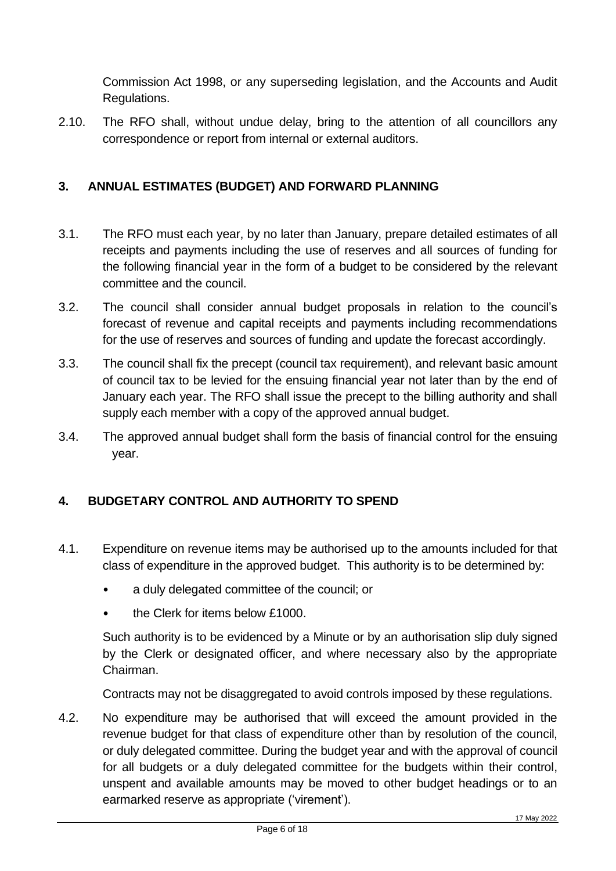Commission Act 1998, or any superseding legislation, and the Accounts and Audit Regulations.

2.10. The RFO shall, without undue delay, bring to the attention of all councillors any correspondence or report from internal or external auditors.

## <span id="page-5-0"></span>**3. ANNUAL ESTIMATES (BUDGET) AND FORWARD PLANNING**

- 3.1. The RFO must each year, by no later than January, prepare detailed estimates of all receipts and payments including the use of reserves and all sources of funding for the following financial year in the form of a budget to be considered by the relevant committee and the council.
- 3.2. The council shall consider annual budget proposals in relation to the council's forecast of revenue and capital receipts and payments including recommendations for the use of reserves and sources of funding and update the forecast accordingly.
- 3.3. The council shall fix the precept (council tax requirement), and relevant basic amount of council tax to be levied for the ensuing financial year not later than by the end of January each year. The RFO shall issue the precept to the billing authority and shall supply each member with a copy of the approved annual budget.
- 3.4. The approved annual budget shall form the basis of financial control for the ensuing year.

## <span id="page-5-1"></span>**4. BUDGETARY CONTROL AND AUTHORITY TO SPEND**

- 4.1. Expenditure on revenue items may be authorised up to the amounts included for that class of expenditure in the approved budget. This authority is to be determined by:
	- a duly delegated committee of the council; or
	- the Clerk for items below £1000.

Such authority is to be evidenced by a Minute or by an authorisation slip duly signed by the Clerk or designated officer, and where necessary also by the appropriate Chairman.

Contracts may not be disaggregated to avoid controls imposed by these regulations.

4.2. No expenditure may be authorised that will exceed the amount provided in the revenue budget for that class of expenditure other than by resolution of the council, or duly delegated committee. During the budget year and with the approval of council for all budgets or a duly delegated committee for the budgets within their control, unspent and available amounts may be moved to other budget headings or to an earmarked reserve as appropriate ('virement').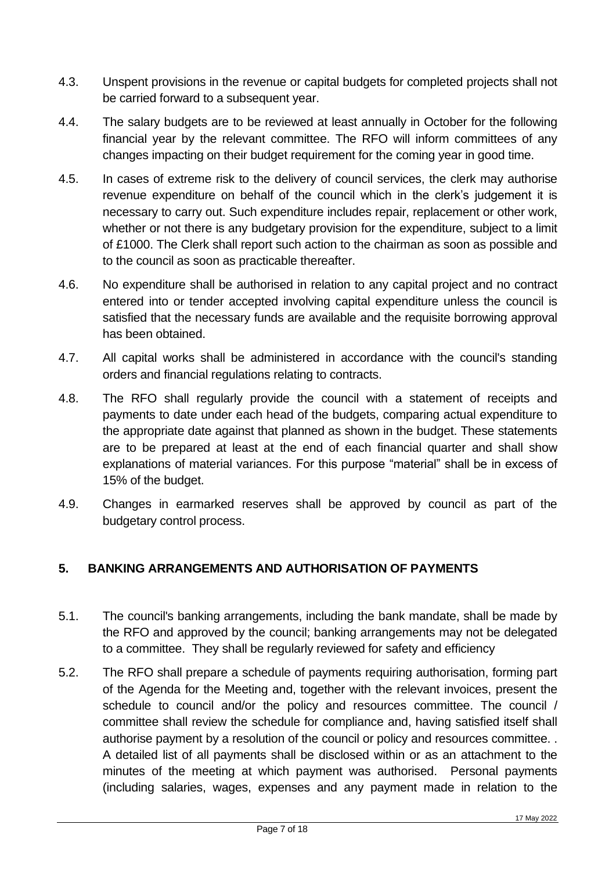- 4.3. Unspent provisions in the revenue or capital budgets for completed projects shall not be carried forward to a subsequent year.
- 4.4. The salary budgets are to be reviewed at least annually in October for the following financial year by the relevant committee. The RFO will inform committees of any changes impacting on their budget requirement for the coming year in good time.
- 4.5. In cases of extreme risk to the delivery of council services, the clerk may authorise revenue expenditure on behalf of the council which in the clerk's judgement it is necessary to carry out. Such expenditure includes repair, replacement or other work, whether or not there is any budgetary provision for the expenditure, subject to a limit of £1000. The Clerk shall report such action to the chairman as soon as possible and to the council as soon as practicable thereafter.
- 4.6. No expenditure shall be authorised in relation to any capital project and no contract entered into or tender accepted involving capital expenditure unless the council is satisfied that the necessary funds are available and the requisite borrowing approval has been obtained.
- 4.7. All capital works shall be administered in accordance with the council's standing orders and financial regulations relating to contracts.
- 4.8. The RFO shall regularly provide the council with a statement of receipts and payments to date under each head of the budgets, comparing actual expenditure to the appropriate date against that planned as shown in the budget. These statements are to be prepared at least at the end of each financial quarter and shall show explanations of material variances. For this purpose "material" shall be in excess of 15% of the budget.
- 4.9. Changes in earmarked reserves shall be approved by council as part of the budgetary control process.

## <span id="page-6-0"></span>**5. BANKING ARRANGEMENTS AND AUTHORISATION OF PAYMENTS**

- 5.1. The council's banking arrangements, including the bank mandate, shall be made by the RFO and approved by the council; banking arrangements may not be delegated to a committee. They shall be regularly reviewed for safety and efficiency
- 5.2. The RFO shall prepare a schedule of payments requiring authorisation, forming part of the Agenda for the Meeting and, together with the relevant invoices, present the schedule to council and/or the policy and resources committee. The council / committee shall review the schedule for compliance and, having satisfied itself shall authorise payment by a resolution of the council or policy and resources committee. . A detailed list of all payments shall be disclosed within or as an attachment to the minutes of the meeting at which payment was authorised. Personal payments (including salaries, wages, expenses and any payment made in relation to the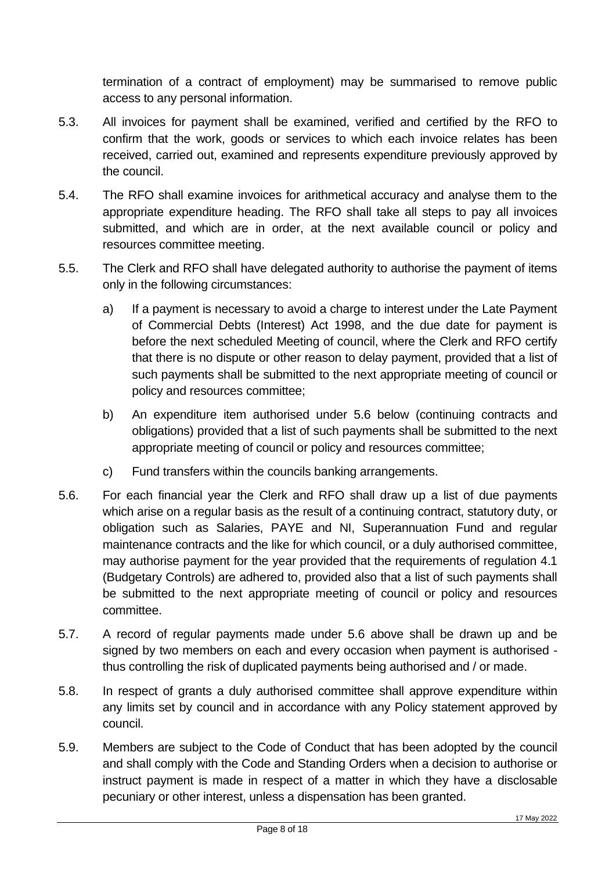termination of a contract of employment) may be summarised to remove public access to any personal information.

- 5.3. All invoices for payment shall be examined, verified and certified by the RFO to confirm that the work, goods or services to which each invoice relates has been received, carried out, examined and represents expenditure previously approved by the council.
- 5.4. The RFO shall examine invoices for arithmetical accuracy and analyse them to the appropriate expenditure heading. The RFO shall take all steps to pay all invoices submitted, and which are in order, at the next available council or policy and resources committee meeting.
- 5.5. The Clerk and RFO shall have delegated authority to authorise the payment of items only in the following circumstances:
	- a) If a payment is necessary to avoid a charge to interest under the Late Payment of Commercial Debts (Interest) Act 1998, and the due date for payment is before the next scheduled Meeting of council, where the Clerk and RFO certify that there is no dispute or other reason to delay payment, provided that a list of such payments shall be submitted to the next appropriate meeting of council or policy and resources committee;
	- b) An expenditure item authorised under 5.6 below (continuing contracts and obligations) provided that a list of such payments shall be submitted to the next appropriate meeting of council or policy and resources committee;
	- c) Fund transfers within the councils banking arrangements.
- 5.6. For each financial year the Clerk and RFO shall draw up a list of due payments which arise on a regular basis as the result of a continuing contract, statutory duty, or obligation such as Salaries, PAYE and NI, Superannuation Fund and regular maintenance contracts and the like for which council, or a duly authorised committee, may authorise payment for the year provided that the requirements of regulation 4.1 (Budgetary Controls) are adhered to, provided also that a list of such payments shall be submitted to the next appropriate meeting of council or policy and resources committee.
- 5.7. A record of regular payments made under 5.6 above shall be drawn up and be signed by two members on each and every occasion when payment is authorised thus controlling the risk of duplicated payments being authorised and / or made.
- 5.8. In respect of grants a duly authorised committee shall approve expenditure within any limits set by council and in accordance with any Policy statement approved by council.
- 5.9. Members are subject to the Code of Conduct that has been adopted by the council and shall comply with the Code and Standing Orders when a decision to authorise or instruct payment is made in respect of a matter in which they have a disclosable pecuniary or other interest, unless a dispensation has been granted.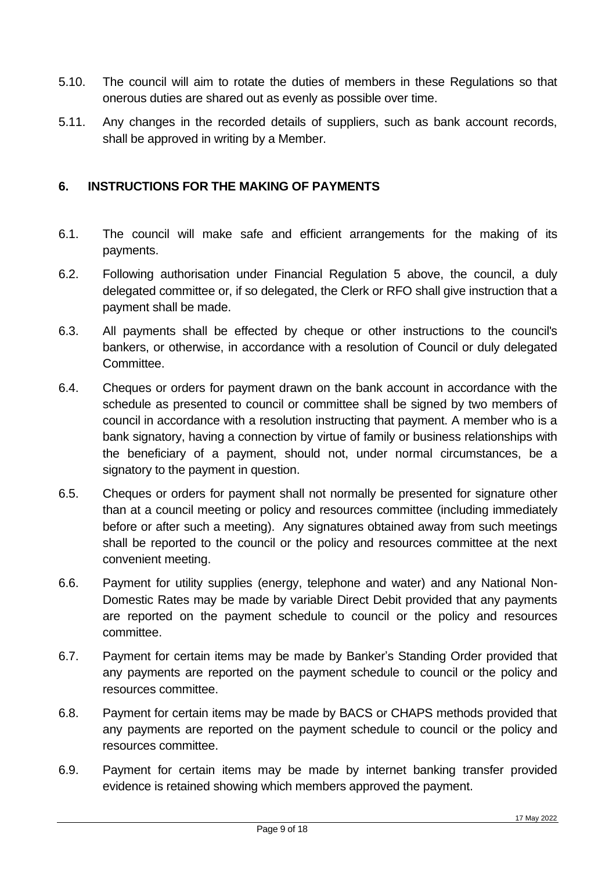- 5.10. The council will aim to rotate the duties of members in these Regulations so that onerous duties are shared out as evenly as possible over time.
- 5.11. Any changes in the recorded details of suppliers, such as bank account records, shall be approved in writing by a Member.

#### <span id="page-8-0"></span>**6. INSTRUCTIONS FOR THE MAKING OF PAYMENTS**

- 6.1. The council will make safe and efficient arrangements for the making of its payments.
- 6.2. Following authorisation under Financial Regulation 5 above, the council, a duly delegated committee or, if so delegated, the Clerk or RFO shall give instruction that a payment shall be made.
- 6.3. All payments shall be effected by cheque or other instructions to the council's bankers, or otherwise, in accordance with a resolution of Council or duly delegated Committee.
- 6.4. Cheques or orders for payment drawn on the bank account in accordance with the schedule as presented to council or committee shall be signed by two members of council in accordance with a resolution instructing that payment. A member who is a bank signatory, having a connection by virtue of family or business relationships with the beneficiary of a payment, should not, under normal circumstances, be a signatory to the payment in question.
- 6.5. Cheques or orders for payment shall not normally be presented for signature other than at a council meeting or policy and resources committee (including immediately before or after such a meeting). Any signatures obtained away from such meetings shall be reported to the council or the policy and resources committee at the next convenient meeting.
- 6.6. Payment for utility supplies (energy, telephone and water) and any National Non-Domestic Rates may be made by variable Direct Debit provided that any payments are reported on the payment schedule to council or the policy and resources committee.
- 6.7. Payment for certain items may be made by Banker's Standing Order provided that any payments are reported on the payment schedule to council or the policy and resources committee.
- 6.8. Payment for certain items may be made by BACS or CHAPS methods provided that any payments are reported on the payment schedule to council or the policy and resources committee.
- 6.9. Payment for certain items may be made by internet banking transfer provided evidence is retained showing which members approved the payment.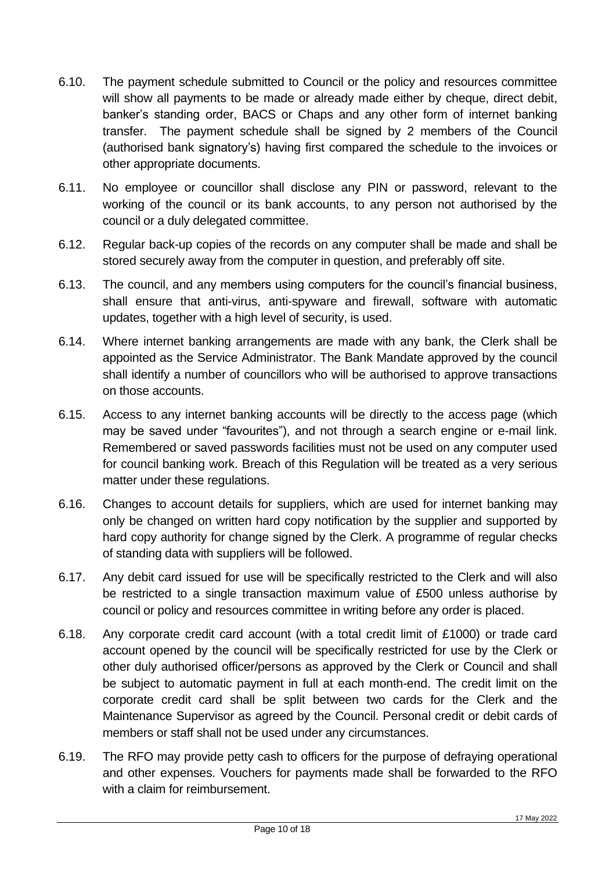- 6.10. The payment schedule submitted to Council or the policy and resources committee will show all payments to be made or already made either by cheque, direct debit, banker's standing order, BACS or Chaps and any other form of internet banking transfer. The payment schedule shall be signed by 2 members of the Council (authorised bank signatory's) having first compared the schedule to the invoices or other appropriate documents.
- 6.11. No employee or councillor shall disclose any PIN or password, relevant to the working of the council or its bank accounts, to any person not authorised by the council or a duly delegated committee.
- 6.12. Regular back-up copies of the records on any computer shall be made and shall be stored securely away from the computer in question, and preferably off site.
- 6.13. The council, and any members using computers for the council's financial business, shall ensure that anti-virus, anti-spyware and firewall, software with automatic updates, together with a high level of security, is used.
- 6.14. Where internet banking arrangements are made with any bank, the Clerk shall be appointed as the Service Administrator. The Bank Mandate approved by the council shall identify a number of councillors who will be authorised to approve transactions on those accounts.
- 6.15. Access to any internet banking accounts will be directly to the access page (which may be saved under "favourites"), and not through a search engine or e-mail link. Remembered or saved passwords facilities must not be used on any computer used for council banking work. Breach of this Regulation will be treated as a very serious matter under these regulations.
- 6.16. Changes to account details for suppliers, which are used for internet banking may only be changed on written hard copy notification by the supplier and supported by hard copy authority for change signed by the Clerk. A programme of regular checks of standing data with suppliers will be followed.
- 6.17. Any debit card issued for use will be specifically restricted to the Clerk and will also be restricted to a single transaction maximum value of £500 unless authorise by council or policy and resources committee in writing before any order is placed.
- 6.18. Any corporate credit card account (with a total credit limit of £1000) or trade card account opened by the council will be specifically restricted for use by the Clerk or other duly authorised officer/persons as approved by the Clerk or Council and shall be subject to automatic payment in full at each month-end. The credit limit on the corporate credit card shall be split between two cards for the Clerk and the Maintenance Supervisor as agreed by the Council. Personal credit or debit cards of members or staff shall not be used under any circumstances.
- 6.19. The RFO may provide petty cash to officers for the purpose of defraying operational and other expenses. Vouchers for payments made shall be forwarded to the RFO with a claim for reimbursement.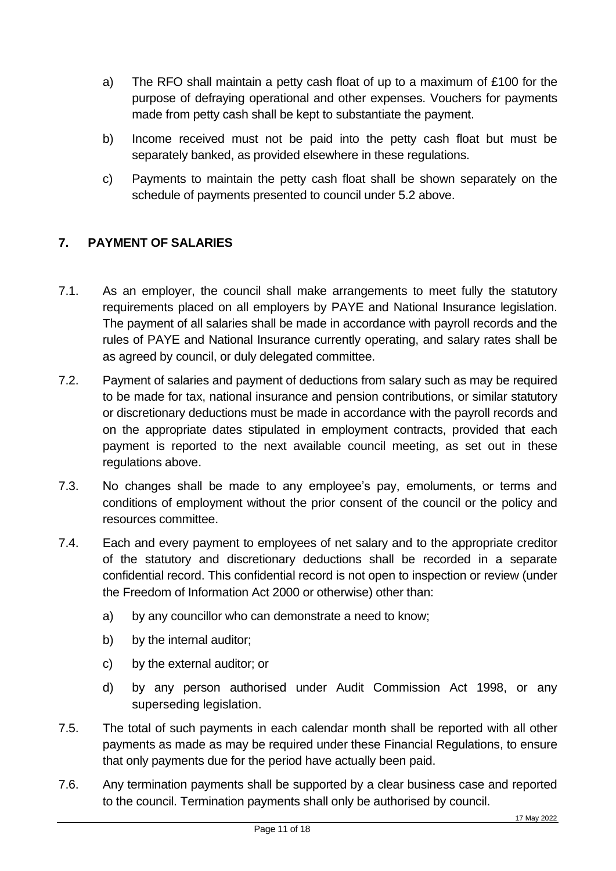- a) The RFO shall maintain a petty cash float of up to a maximum of £100 for the purpose of defraying operational and other expenses. Vouchers for payments made from petty cash shall be kept to substantiate the payment.
- b) Income received must not be paid into the petty cash float but must be separately banked, as provided elsewhere in these regulations.
- c) Payments to maintain the petty cash float shall be shown separately on the schedule of payments presented to council under 5.2 above.

## <span id="page-10-0"></span>**7. PAYMENT OF SALARIES**

- 7.1. As an employer, the council shall make arrangements to meet fully the statutory requirements placed on all employers by PAYE and National Insurance legislation. The payment of all salaries shall be made in accordance with payroll records and the rules of PAYE and National Insurance currently operating, and salary rates shall be as agreed by council, or duly delegated committee.
- 7.2. Payment of salaries and payment of deductions from salary such as may be required to be made for tax, national insurance and pension contributions, or similar statutory or discretionary deductions must be made in accordance with the payroll records and on the appropriate dates stipulated in employment contracts, provided that each payment is reported to the next available council meeting, as set out in these regulations above.
- 7.3. No changes shall be made to any employee's pay, emoluments, or terms and conditions of employment without the prior consent of the council or the policy and resources committee.
- 7.4. Each and every payment to employees of net salary and to the appropriate creditor of the statutory and discretionary deductions shall be recorded in a separate confidential record. This confidential record is not open to inspection or review (under the Freedom of Information Act 2000 or otherwise) other than:
	- a) by any councillor who can demonstrate a need to know;
	- b) by the internal auditor;
	- c) by the external auditor; or
	- d) by any person authorised under Audit Commission Act 1998, or any superseding legislation.
- 7.5. The total of such payments in each calendar month shall be reported with all other payments as made as may be required under these Financial Regulations, to ensure that only payments due for the period have actually been paid.
- 7.6. Any termination payments shall be supported by a clear business case and reported to the council. Termination payments shall only be authorised by council.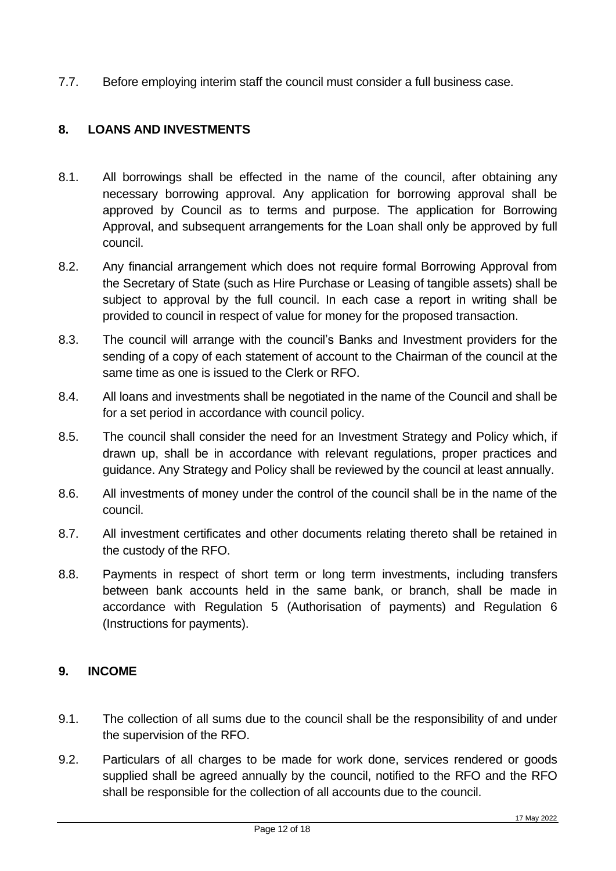7.7. Before employing interim staff the council must consider a full business case.

## <span id="page-11-0"></span>**8. LOANS AND INVESTMENTS**

- 8.1. All borrowings shall be effected in the name of the council, after obtaining any necessary borrowing approval. Any application for borrowing approval shall be approved by Council as to terms and purpose. The application for Borrowing Approval, and subsequent arrangements for the Loan shall only be approved by full council.
- 8.2. Any financial arrangement which does not require formal Borrowing Approval from the Secretary of State (such as Hire Purchase or Leasing of tangible assets) shall be subject to approval by the full council. In each case a report in writing shall be provided to council in respect of value for money for the proposed transaction.
- 8.3. The council will arrange with the council's Banks and Investment providers for the sending of a copy of each statement of account to the Chairman of the council at the same time as one is issued to the Clerk or RFO.
- 8.4. All loans and investments shall be negotiated in the name of the Council and shall be for a set period in accordance with council policy.
- 8.5. The council shall consider the need for an Investment Strategy and Policy which, if drawn up, shall be in accordance with relevant regulations, proper practices and guidance. Any Strategy and Policy shall be reviewed by the council at least annually.
- 8.6. All investments of money under the control of the council shall be in the name of the council.
- 8.7. All investment certificates and other documents relating thereto shall be retained in the custody of the RFO.
- 8.8. Payments in respect of short term or long term investments, including transfers between bank accounts held in the same bank, or branch, shall be made in accordance with Regulation 5 (Authorisation of payments) and Regulation 6 (Instructions for payments).

#### <span id="page-11-1"></span>**9. INCOME**

- 9.1. The collection of all sums due to the council shall be the responsibility of and under the supervision of the RFO.
- 9.2. Particulars of all charges to be made for work done, services rendered or goods supplied shall be agreed annually by the council, notified to the RFO and the RFO shall be responsible for the collection of all accounts due to the council.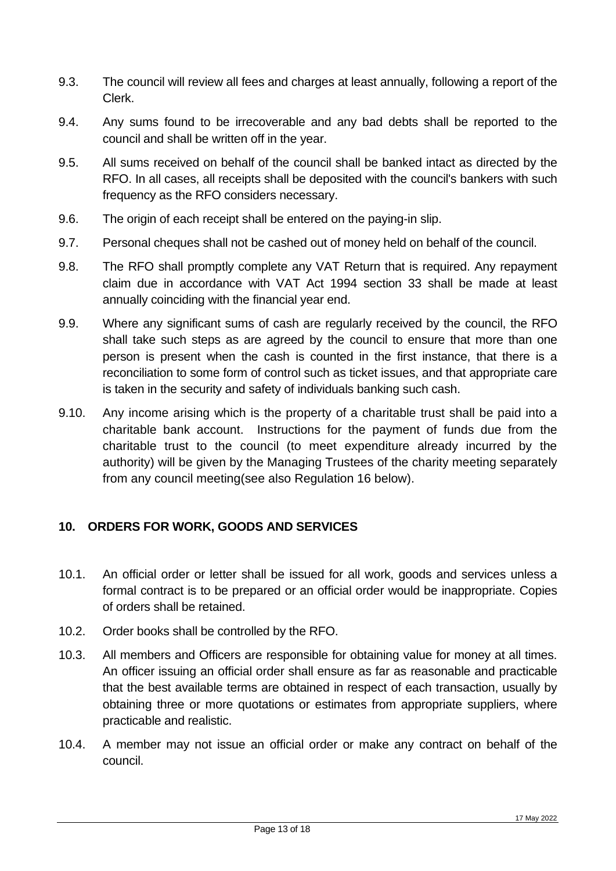- 9.3. The council will review all fees and charges at least annually, following a report of the Clerk.
- 9.4. Any sums found to be irrecoverable and any bad debts shall be reported to the council and shall be written off in the year.
- 9.5. All sums received on behalf of the council shall be banked intact as directed by the RFO. In all cases, all receipts shall be deposited with the council's bankers with such frequency as the RFO considers necessary.
- 9.6. The origin of each receipt shall be entered on the paying-in slip.
- 9.7. Personal cheques shall not be cashed out of money held on behalf of the council.
- 9.8. The RFO shall promptly complete any VAT Return that is required. Any repayment claim due in accordance with VAT Act 1994 section 33 shall be made at least annually coinciding with the financial year end.
- 9.9. Where any significant sums of cash are regularly received by the council, the RFO shall take such steps as are agreed by the council to ensure that more than one person is present when the cash is counted in the first instance, that there is a reconciliation to some form of control such as ticket issues, and that appropriate care is taken in the security and safety of individuals banking such cash.
- 9.10. Any income arising which is the property of a charitable trust shall be paid into a charitable bank account. Instructions for the payment of funds due from the charitable trust to the council (to meet expenditure already incurred by the authority) will be given by the Managing Trustees of the charity meeting separately from any council meeting(see also Regulation 16 below).

## <span id="page-12-0"></span>**10. ORDERS FOR WORK, GOODS AND SERVICES**

- 10.1. An official order or letter shall be issued for all work, goods and services unless a formal contract is to be prepared or an official order would be inappropriate. Copies of orders shall be retained.
- 10.2. Order books shall be controlled by the RFO.
- 10.3. All members and Officers are responsible for obtaining value for money at all times. An officer issuing an official order shall ensure as far as reasonable and practicable that the best available terms are obtained in respect of each transaction, usually by obtaining three or more quotations or estimates from appropriate suppliers, where practicable and realistic.
- 10.4. A member may not issue an official order or make any contract on behalf of the council.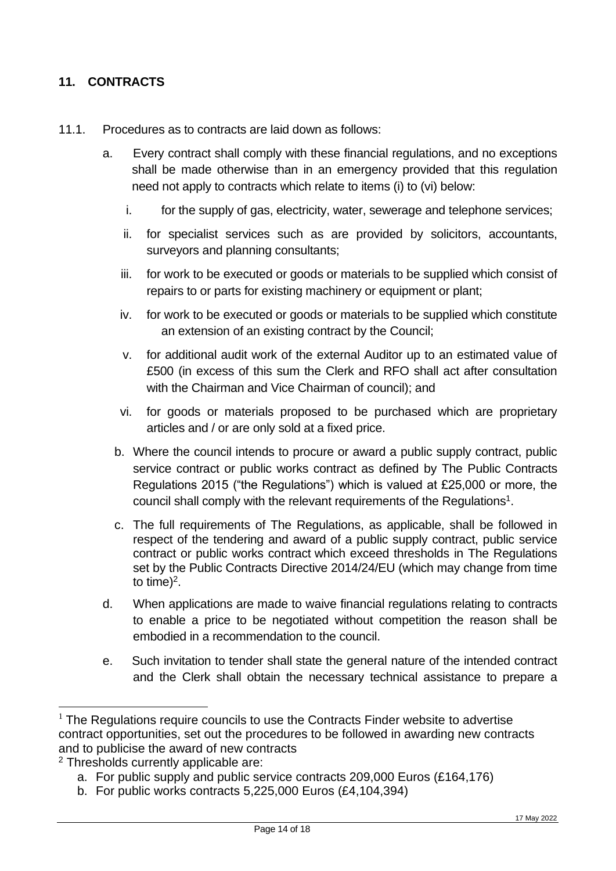## <span id="page-13-0"></span>**11. CONTRACTS**

- 11.1. Procedures as to contracts are laid down as follows:
	- a. Every contract shall comply with these financial regulations, and no exceptions shall be made otherwise than in an emergency provided that this regulation need not apply to contracts which relate to items (i) to (vi) below:
		- i. for the supply of gas, electricity, water, sewerage and telephone services;
		- ii. for specialist services such as are provided by solicitors, accountants, surveyors and planning consultants;
		- iii. for work to be executed or goods or materials to be supplied which consist of repairs to or parts for existing machinery or equipment or plant;
		- iv. for work to be executed or goods or materials to be supplied which constitute an extension of an existing contract by the Council;
		- v. for additional audit work of the external Auditor up to an estimated value of £500 (in excess of this sum the Clerk and RFO shall act after consultation with the Chairman and Vice Chairman of council); and
		- vi. for goods or materials proposed to be purchased which are proprietary articles and / or are only sold at a fixed price.
		- b. Where the council intends to procure or award a public supply contract, public service contract or public works contract as defined by The Public Contracts Regulations 2015 ("the Regulations") which is valued at £25,000 or more, the council shall comply with the relevant requirements of the Regulations<sup>1</sup>.
		- c. The full requirements of The Regulations, as applicable, shall be followed in respect of the tendering and award of a public supply contract, public service contract or public works contract which exceed thresholds in The Regulations set by the Public Contracts Directive 2014/24/EU (which may change from time to time)<sup>2</sup>.
	- d. When applications are made to waive financial regulations relating to contracts to enable a price to be negotiated without competition the reason shall be embodied in a recommendation to the council.
	- e. Such invitation to tender shall state the general nature of the intended contract and the Clerk shall obtain the necessary technical assistance to prepare a

 $1$  The Regulations require councils to use the Contracts Finder website to advertise contract opportunities, set out the procedures to be followed in awarding new contracts and to publicise the award of new contracts

<sup>2</sup> Thresholds currently applicable are:

a. For public supply and public service contracts 209,000 Euros (£164,176)

b. For public works contracts 5,225,000 Euros (£4,104,394)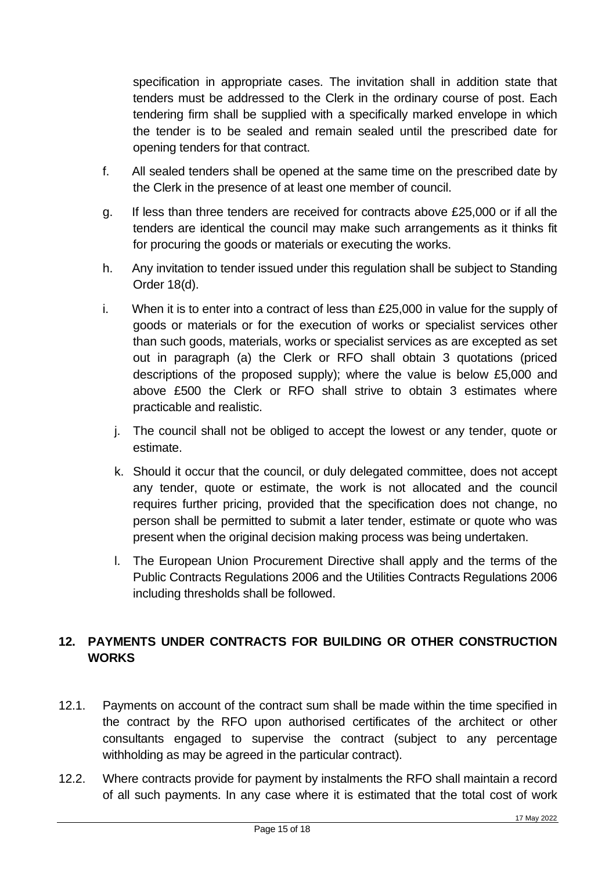specification in appropriate cases. The invitation shall in addition state that tenders must be addressed to the Clerk in the ordinary course of post. Each tendering firm shall be supplied with a specifically marked envelope in which the tender is to be sealed and remain sealed until the prescribed date for opening tenders for that contract.

- f. All sealed tenders shall be opened at the same time on the prescribed date by the Clerk in the presence of at least one member of council.
- g. If less than three tenders are received for contracts above £25,000 or if all the tenders are identical the council may make such arrangements as it thinks fit for procuring the goods or materials or executing the works.
- h. Any invitation to tender issued under this regulation shall be subject to Standing Order 18(d).
- i. When it is to enter into a contract of less than £25,000 in value for the supply of goods or materials or for the execution of works or specialist services other than such goods, materials, works or specialist services as are excepted as set out in paragraph (a) the Clerk or RFO shall obtain 3 quotations (priced descriptions of the proposed supply); where the value is below £5,000 and above £500 the Clerk or RFO shall strive to obtain 3 estimates where practicable and realistic.
	- j. The council shall not be obliged to accept the lowest or any tender, quote or estimate.
	- k. Should it occur that the council, or duly delegated committee, does not accept any tender, quote or estimate, the work is not allocated and the council requires further pricing, provided that the specification does not change, no person shall be permitted to submit a later tender, estimate or quote who was present when the original decision making process was being undertaken.
	- l. The European Union Procurement Directive shall apply and the terms of the Public Contracts Regulations 2006 and the Utilities Contracts Regulations 2006 including thresholds shall be followed.

## <span id="page-14-0"></span>**12. PAYMENTS UNDER CONTRACTS FOR BUILDING OR OTHER CONSTRUCTION WORKS**

- 12.1. Payments on account of the contract sum shall be made within the time specified in the contract by the RFO upon authorised certificates of the architect or other consultants engaged to supervise the contract (subject to any percentage withholding as may be agreed in the particular contract).
- 12.2. Where contracts provide for payment by instalments the RFO shall maintain a record of all such payments. In any case where it is estimated that the total cost of work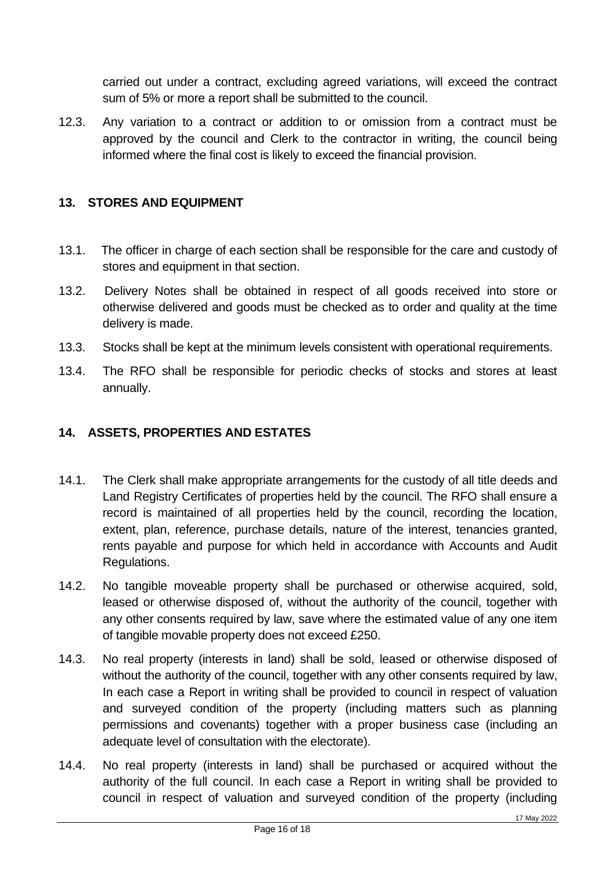carried out under a contract, excluding agreed variations, will exceed the contract sum of 5% or more a report shall be submitted to the council.

12.3. Any variation to a contract or addition to or omission from a contract must be approved by the council and Clerk to the contractor in writing, the council being informed where the final cost is likely to exceed the financial provision.

#### <span id="page-15-0"></span>**13. STORES AND EQUIPMENT**

- 13.1. The officer in charge of each section shall be responsible for the care and custody of stores and equipment in that section.
- 13.2. Delivery Notes shall be obtained in respect of all goods received into store or otherwise delivered and goods must be checked as to order and quality at the time delivery is made.
- 13.3. Stocks shall be kept at the minimum levels consistent with operational requirements.
- 13.4. The RFO shall be responsible for periodic checks of stocks and stores at least annually.

#### <span id="page-15-1"></span>**14. ASSETS, PROPERTIES AND ESTATES**

- 14.1. The Clerk shall make appropriate arrangements for the custody of all title deeds and Land Registry Certificates of properties held by the council. The RFO shall ensure a record is maintained of all properties held by the council, recording the location, extent, plan, reference, purchase details, nature of the interest, tenancies granted, rents payable and purpose for which held in accordance with Accounts and Audit Regulations.
- 14.2. No tangible moveable property shall be purchased or otherwise acquired, sold, leased or otherwise disposed of, without the authority of the council, together with any other consents required by law, save where the estimated value of any one item of tangible movable property does not exceed £250.
- 14.3. No real property (interests in land) shall be sold, leased or otherwise disposed of without the authority of the council, together with any other consents required by law, In each case a Report in writing shall be provided to council in respect of valuation and surveyed condition of the property (including matters such as planning permissions and covenants) together with a proper business case (including an adequate level of consultation with the electorate).
- 14.4. No real property (interests in land) shall be purchased or acquired without the authority of the full council. In each case a Report in writing shall be provided to council in respect of valuation and surveyed condition of the property (including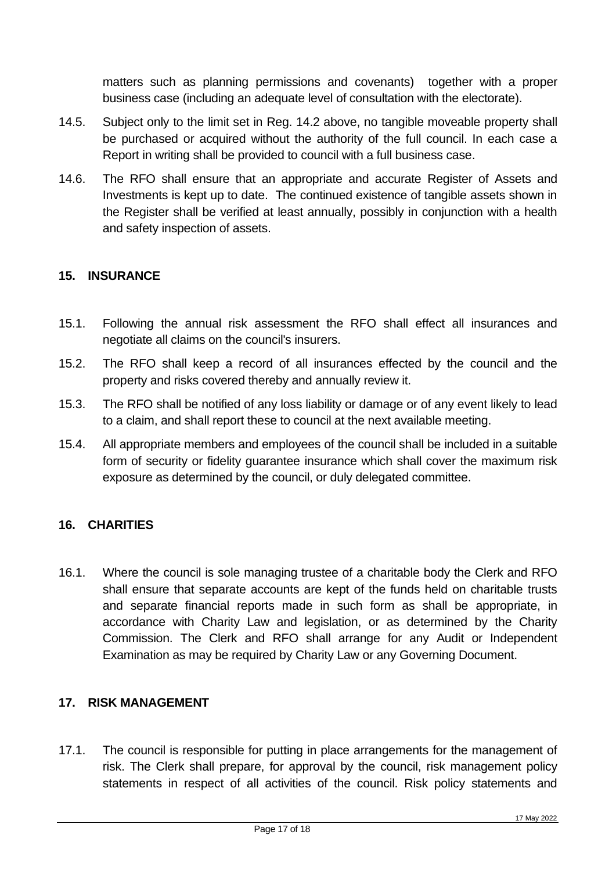matters such as planning permissions and covenants) together with a proper business case (including an adequate level of consultation with the electorate).

- 14.5. Subject only to the limit set in Reg. 14.2 above, no tangible moveable property shall be purchased or acquired without the authority of the full council. In each case a Report in writing shall be provided to council with a full business case.
- 14.6. The RFO shall ensure that an appropriate and accurate Register of Assets and Investments is kept up to date. The continued existence of tangible assets shown in the Register shall be verified at least annually, possibly in conjunction with a health and safety inspection of assets.

## <span id="page-16-0"></span>**15. INSURANCE**

- 15.1. Following the annual risk assessment the RFO shall effect all insurances and negotiate all claims on the council's insurers.
- 15.2. The RFO shall keep a record of all insurances effected by the council and the property and risks covered thereby and annually review it.
- 15.3. The RFO shall be notified of any loss liability or damage or of any event likely to lead to a claim, and shall report these to council at the next available meeting.
- 15.4. All appropriate members and employees of the council shall be included in a suitable form of security or fidelity guarantee insurance which shall cover the maximum risk exposure as determined by the council, or duly delegated committee.

## <span id="page-16-1"></span>**16. CHARITIES**

16.1. Where the council is sole managing trustee of a charitable body the Clerk and RFO shall ensure that separate accounts are kept of the funds held on charitable trusts and separate financial reports made in such form as shall be appropriate, in accordance with Charity Law and legislation, or as determined by the Charity Commission. The Clerk and RFO shall arrange for any Audit or Independent Examination as may be required by Charity Law or any Governing Document.

#### <span id="page-16-2"></span>**17. RISK MANAGEMENT**

17.1. The council is responsible for putting in place arrangements for the management of risk. The Clerk shall prepare, for approval by the council, risk management policy statements in respect of all activities of the council. Risk policy statements and